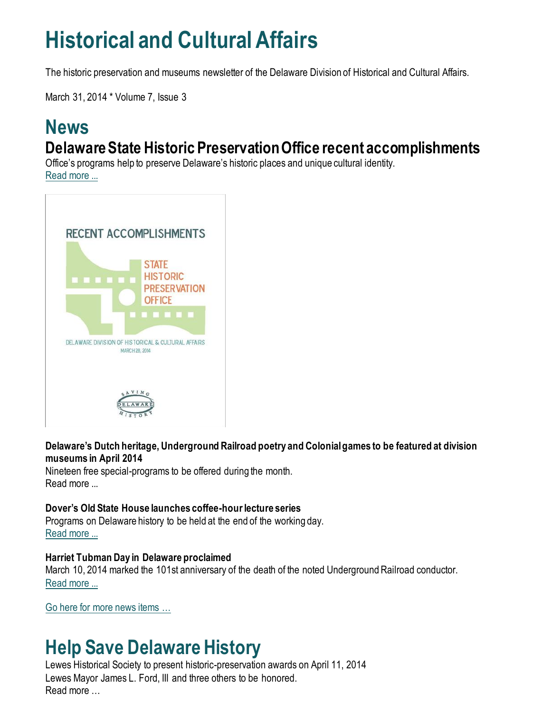# **Historical and Cultural Affairs**

The historic preservation and museums newsletter of the Delaware Division of Historical and Cultural Affairs.

March 31, 2014 \* Volume 7, Issue 3

### **News Delaware State Historic Preservation Office recent accomplishments**

Office's programs help to preserve Delaware's historic places and unique cultural identity. [Read more ...](https://history.delaware.gov/2014/03/28/delaware-state-historic-preservation-office-recent-accomplishments/)



**Delaware's Dutch heritage, Underground Railroad poetry and Colonial games to be featured at division museums in April 2014**

Nineteen free special-programs to be offered during the month. Read more ...

### **Dover's Old State House launches coffee-hour lecture series**

Programs on Delaware history to be held at the end of the working day. [Read more ...](https://history.delaware.gov/2014/03/19/dovers-old-state-house-launches-coffee-hour-lecture-series/)

### **Harriet Tubman Day in Delaware proclaimed**

March 10, 2014 marked the 101st anniversary of the death of the noted Underground Railroad conductor. [Read more ...](https://history.delaware.gov/2014/03/10/harriet-tubman-day-in-delaware-proclaimed/)

[Go here for more news items …](http://history.blogs.delaware.gov/)

## **Help Save Delaware History**

Lewes Historical Society to present historic-preservation awards on April 11, 2014 Lewes Mayor James L. Ford, III and three others to be honored. Read more …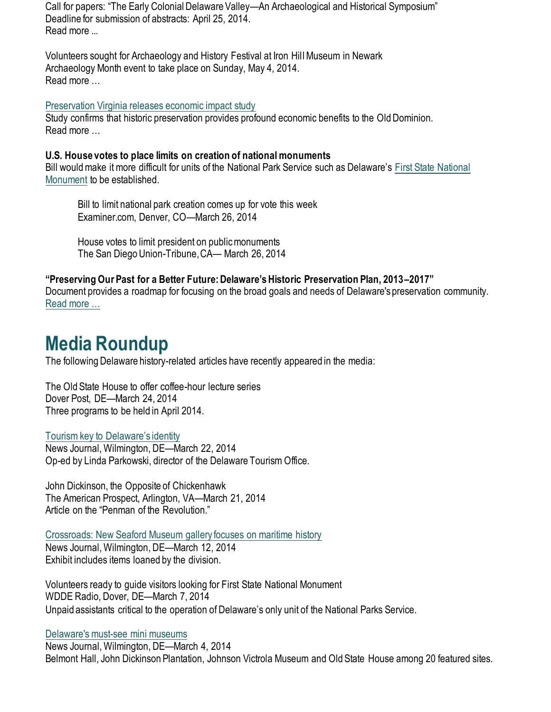Call for papers: "The Early Colonial Delaware Valley—An Archaeological and Historical Symposium" Deadline for submission of abstracts: April 25, 2014. Read more ...

Volunteers sought for Archaeology and History Festival at Iron Hill Museum in Newark Archaeology Month event to take place on Sunday, May 4, 2014. Read more …

[Preservation Virginia releases economic impact study](https://preservationvirginia.org/press_release/vcu-study-finds-historic-preservation-contributes-to-virginias-economy-by-u/)

Study confirms that historic preservation provides profound economic benefits to the Old Dominion. Read more …

### **U.S. House votes to place limits on creation of national monuments**

Bill would make it more difficult for units of the National Park Service such as Delaware's [First State National](https://www.nps.gov/frst/index.htm)  [Monument](https://www.nps.gov/frst/index.htm) to be established.

Bill to limit national park creation comes up for vote this week Examiner.com, Denver, CO—March 26, 2014

House votes to limit president on public monuments The San Diego Union-Tribune, CA— March 26, 2014

#### **"Preserving Our Past for a Better Future: Delaware's Historic Preservation Plan, 2013–2017"** Document provides a roadmap for focusing on the broad goals and needs of Delaware's preservation community. [Read more …](https://history.delaware.gov/wp-content/uploads/sites/179/2019/02/Preservation-Plan-2013-2017.pdf)

# **Media Roundup**

The following Delaware history-related articles have recently appeared in the media:

The Old State House to offer coffee-hour lecture series Dover Post, DE—March 24, 2014 Three programs to be held in April 2014.

### [Tourism key to Delaware's identity](https://www.delawareonline.com/story/money/2014/03/22/tourism-key-to-delawares-identity/6714445/)

News Journal, Wilmington, DE—March 22, 2014 Op-ed by Linda Parkowski, director of the Delaware Tourism Office.

John Dickinson, the Opposite of Chickenhawk The American Prospect, Arlington, VA—March 21, 2014 Article on the "Penman of the Revolution."

[Crossroads: New Seaford Museum gallery focuses on maritime history](https://www.delawareonline.com/story/life/2014/03/12/crossroads-new-seaford-museum-gallery-focuses-on-maritime-history/6345989/) News Journal, Wilmington, DE—March 12, 2014 Exhibit includes items loaned by the division.

Volunteers ready to guide visitors looking for First State National Monument WDDE Radio, Dover, DE—March 7, 2014 Unpaid assistants critical to the operation of Delaware's only unit of the National Parks Service.

#### [Delaware's must-see mini museums](https://www.delawareonline.com/story/life/did-you-know/2014/03/04/did-you-know-delawares-must-see-mini-museums/6021373/)

News Journal, Wilmington, DE—March 4, 2014 Belmont Hall, John Dickinson Plantation, Johnson Victrola Museum and Old State House among 20 featured sites.